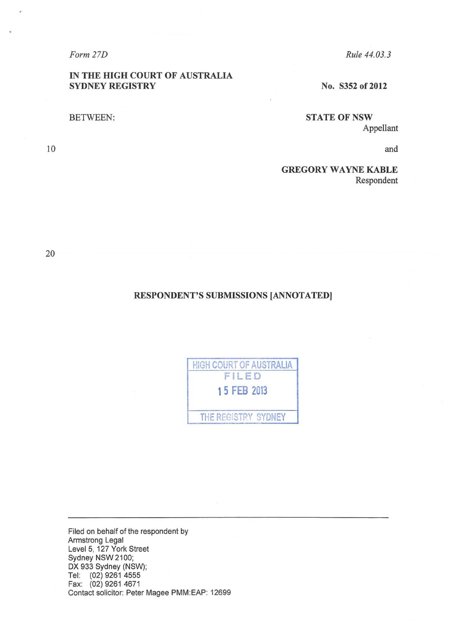*Form 27D* 

# IN THE HIGH COURT OF AUSTRALIA SYDNEY REGISTRY

BETWEEN:

*Rule 44. 03. 3* 

No. S352 of 2012

**STATE OF NSW** Appellant

and

GREGORY WAYNE KABLE Respondent

20

10

# RESPONDENT'S SUBMISSIONS [ANNOTATED]

| HIGH COURT OF AUSTRALIA |  |
|-------------------------|--|
| FILED                   |  |
| 15 FEB 2013             |  |
| THE REGISTRY SYDNEY     |  |

Filed on behalf of the respondent by Armstrong Legal Level 5, 127 York Street Sydney NSW2100; DX 933 Sydney (NSW); Tel: (02) 9261 4555 Fax: (02) 9261 4671 Contact solicitor: Peter Magee PMM:EAP: 12699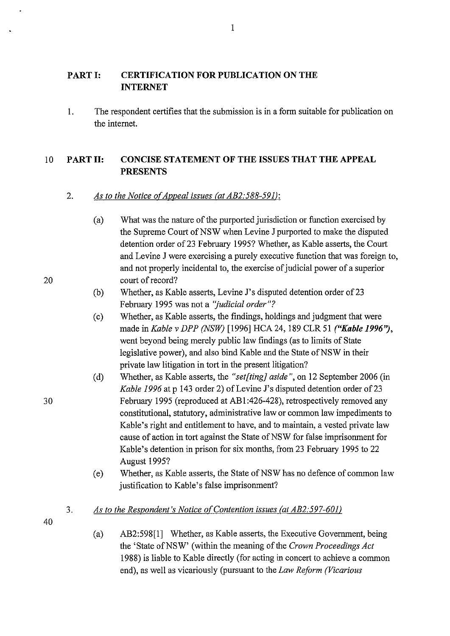#### **PART I: CERTIFICATION FOR PUBLICATION ON THE INTERNET**

1. The respondent certifies that the submission is in a form suitable for publication on the internet.

# 10 **PARTII: CONCISE STATEMENT OF THE ISSUES THAT THE APPEAL PRESENTS**

# 2. *As to the Notice of Appeal issues (at AB2:588-591):*

- (a) What was the nature of the purported jurisdiction or function exercised by the Supreme Court of NSW when Levine J purported to make the disputed detention order of 23 February 1995? Whether, as Kable asserts, the Court and Levine **J** were exercising a purely executive function that was foreign to, and not properly incidental to, the exercise of judicial power of a superior court of record?
- (b) Whether, as Kable asserts, Levine J's disputed detention order of 23 February 1995 was not a *"judicial order"?*
- (c) Whether, as Kable asserts, the findings, holdings and judgment that were made in *Kable v DPP (NSW)* [1996] HCA 24, 189 CLR 51 *("Kable 1996''),*  went beyond being merely public law findings (as to limits of State legislative power), and also bind Kable and the State of NSW in their private law litigation in tort in the present litigation?
- (d) Whether, as Kable asserts, the *"set[ting] aside",* on 12 September 2006 (in *Kable 1996* at p 143 order 2) of Levine J's disputed detention order of 23 February 1995 (reproduced at AB1:426-428), retrospectively removed any constitutional, statutory, administrative law or common law impediments to Kable's right and entitlement to have, and to maintain, a vested private law cause of action in tort against the State of NSW for false imprisonment for Kable's detention in prison for six months, from 23 February 1995 to 22 August 1995?
- (e) Whether, as Kable asserts, the State ofNSW has no defence of common law justification to Kable's false imprisonment?
- 3. *As to the Respondent's Notice of Contention issues (at AB2:597-601)*
- 40
- (a) AB2:598[!] Whether, as Kable asserts, the Executive Government, being the 'State of NSW' (within the meaning of the *Crown Proceedings Act* 1988) is liable to Kable directly (for acting in concert to achieve a common end), as well as vicariously (pursuant to the *Law Reform (Vicarious*

1

20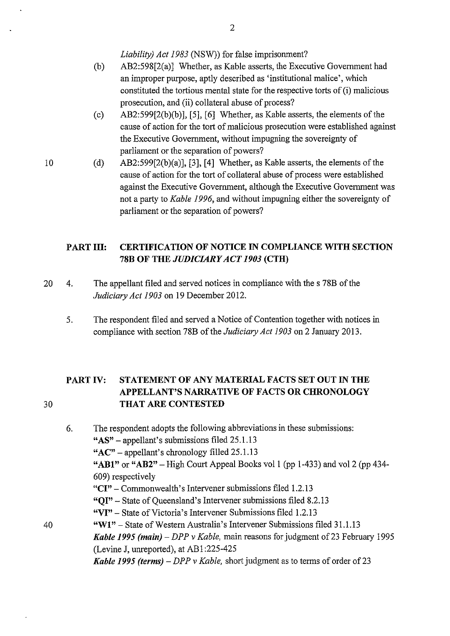*Liability) Act 1983* (NSW)) for false imprisonment?

- (b) AB2:598[2(a)] Whether, as Kable asserts, the Executive Government had an improper purpose, aptly described as 'institutional malice', which constituted the tortious mental state for the respective torts of (i) malicious prosecution, and (ii) collateral abuse of process?
- (c) AB2:599[2(b)(b)], [5], [6] Whether, as Kable asserts, the elements of the cause of action for the tort of malicious prosecution were established against the Executive Government, without impugning the sovereignty of parliament or the separation of powers?
- (d) AB2:599[2(b)(a)], [3], [4] Whether, as Kable asserts, the elements of the cause of action for the tort of collateral abuse of process were established against the Executive Government, although the Executive Government was not a party to *Kable 1996,* and without impugning either the sovereignty of parliament or the separation of powers?

# **PART III: CERTIFICATION OF NOTICE IN COMPLIANCE WITH SECTION 78B OF THE** *JUDICIARY ACT 1903* **(CTH)**

- 20 4. The appellant filed and served notices in compliance with the s 78B of the *Judiciary Act 1903* on 19 December 2012.
	- 5. The respondent filed and served a Notice of Contention together with notices in compliance with section 78B of the *Judiciary Act 1903* on 2 January 2013.

# **PART IV: STATEMENT OF ANY MATERIAL FACTS SET OUT IN THE APPELLANT'S NARRATIVE OF FACTS OR CHRONOLOGY THAT ARE CONTESTED**

6. The respondent adopts the following abbreviations in these submissions: **"AS"** - appellant's submissions filed 25.1.13 **"AC"-** appellant's chronology filled 25.1.13 **"ABl" or "AB2"-** High Court Appeal Books vol1 (pp 1-433) and vol2 (pp 434- 609) respectively **"CI"** - Commonwealth's Intervener submissions filed 1.2.13 **"QI"-** State of Queensland's Intervener submissions filed 8.2.13 **"VI"-** State of Victoria's Intervener Submissions filed 1.2.13 40 **"Wl"-** State of Western Australia's Intervener Submissions filed 31.1.13 *Kable 1995 (main) – DPP v Kable, main reasons for judgment of 23 February 1995* (Levine J, unreported), at AB 1:225-425 *Kable 1995 (terms) – DPP v Kable, short judgment as to terms of order of 23* 

10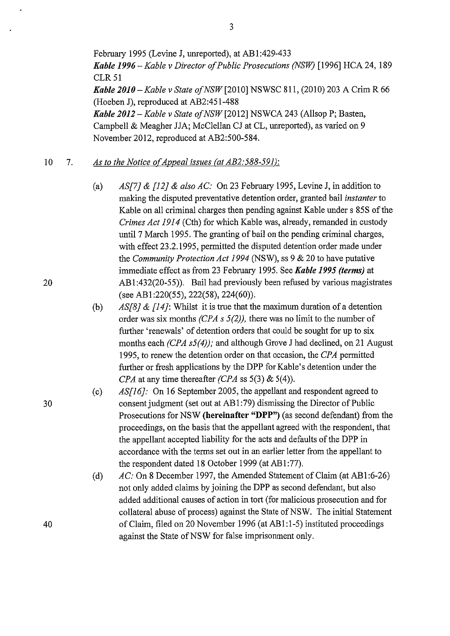February 1995 (Levine J, unreported), at AB1:429-433 *Kable 1996- Kable v Director of Public Prosecutions (NSW)* [1996] HCA 24, 189 **CLR 51** *Kable 2010-Kable v State ofNSW* [2010] NSWSC 811, (2010) 203 A Crim R 66 (Hoeben J), reproduced at AB2:451-488 *Kable 2012 -Kable v State ofNSW* [2012] NSWCA 243 (AllsopP; Basten, Campbell & Meagher JJA; McClellan CJ at CL, unreported), as varied on 9 November 2012, reproduced at AB2:500-584.

#### 10 7. *As to the Notice of Appeal issues (at AB2:588-591):*

- (a) *AS[7}* & *[12}* & *also AC:* On 23 February 1995, Levine J, in addition to making the disputed preventative detention order, granted bail *instanter* to Kable on all criminal charges then pending against Kable under s 85S of the *Crimes Act 1914* (Cth) for which Kable was, already, remanded in custody until 7 March 1995. The granting of bail on the pending criminal charges, with effect 23.2.1995, permitted the disputed detention order made under the *Community Protection Act 1994* (NSW), ss 9 & 20 to have putative immediate effect as from 23 February 1995. See *Kable 1995 (terms)* at 20 ABl :432(20-55)). Bail had previously been refused by various magistrates (see AB1:220(55), 222(58), 224(60)).
	- (b) *AS[8}* & *[14}:* Whilst it is true that the maximum duration of a detention order was six months *(CPA s 5(2)),* there was no limit to the number of further 'renewals' of detention orders that could be sought for up to six months each *(CPA s5(4));* and although Grove J had declined, on 21 August 1995, to renew the detention order on that occasion, the *CPA* permitted further or fresh applications by the DPP for Kable's detention under the *CPA* at any time thereafter *(CPA* ss 5(3) & 5(4)).

(c) *AS[16}:* On 16 September 2005, the appellant and respondent agreed to 30 consent judgment (set out at AB1:79) dismissing the Director of Public Prosecutions for NSW **(hereinafter "DPP")** (as second defendant) from the proceedings, on the basis that the appellant agreed with the respondent, that the appellant accepted liability for the acts and defaults of the DPP in accordance with the terms set out in an earlier letter from the appellant to the respondent dated 18 October 1999 (at AB1:77).

> (d) *AC:* On 8 December 1997, the Amended Statement of Claim (at AB1:6-26) not only added claims by joining the DPP as second defendant, but also added additional causes of action in tort (for malicious prosecution and for collateral abuse of process) against the State of NSW. The initial Statement of Claim, filed on 20 November 1996 (at ABl :1-5) instituted proceedings against the State of NSW for false imprisonment only.

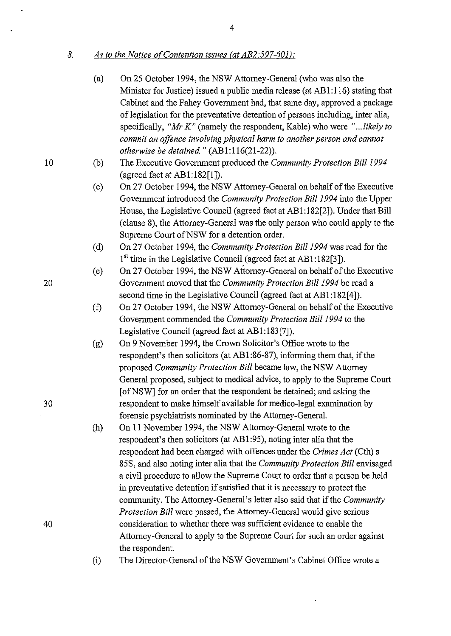*8. As to the Notice of Contention issues (at AB2:597-601 ):* 

- (a) On 25 October 1994, the NSW Attorney-General (who was also the Minister for Justice) issued a public media release (at AB1:116) stating that Cabinet and the Fahey Government had, that same day, approved a package of legislation for the preventative detention of persons including, inter alia, specifically, *"Mr K"* (namely the respondent, Kable) who were *" ... likely to commit an offence involving physical harm to another person and cannot otherwise be detained"* (AB1:116(21-22)).
- 10 (b) The Executive Government produced the *Community Protection Bill 1994*  (agreed fact at  $AB1:182[1]$ ).
	- (c) On 27 October 1994, the NSW Attorney-General on behalf of the Executive Government introduced the *Community Protection Bill 1994* into the Upper House, the Legislative Council (agreed fact at AB1:182[2]). Under that Bill (clause 8), the Attorney-General was the only person who could apply to the Supreme Court of NSW for a detention order.
	- (d) On 27 October 1994, the *Community Protection Bill 1994* was read for the  $1<sup>st</sup>$  time in the Legislative Council (agreed fact at AB1:182[3]).
- (e) On 27 October 1994, the NSW Attorney-General on behalf of the Executive 20 Government moved that the *Community Protection Bill 1994* be read a second time in the Legislative Council (agreed fact at AB1:182[4]).
	- (f) On 27 October 1994, the NSW Attorney-General on behalf of the Executive Government commended the *Community Protection Bill 1994* to the Legislative Council (agreed fact at ABI :183[7]).
- (g) On 9 November 1994, the Crown Solicitor's Office wrote to the respondent's then solicitors (at AB 1 :86-87), informing them that, if the proposed *Community Protection Bill* became law, the NSW Attorney General proposed, subject to medical advice, to apply to the Supreme Court [ of NSW] for an order that the respondent be detained; and asking the 30 respondent to make himself available for medico-legal examination by forensic psychiatrists nominated by the Attorney-General.
- (h) On 11 November 1994, the NSW Attorney-General wrote to the respondent's then solicitors (at AB1:95), noting inter alia that the respondent had been charged with offences under the *Crimes Act* (Cth) s 85S, and also noting inter alia that the *Community Protection Bill* envisaged a civil procedure to allow the Supreme Court to order that a person be held in preventative detention if satisfied that it is necessary to protect the community. The Attorney-General's letter also said that if the *Community Protection Bill* were passed, the Attorney-General would give serious 40 consideration to whether there was sufficient evidence to enable the Attorney-General to apply to the Supreme Court for such an order against the respondent.
	- (i) The Director-General of the NSW Government's Cabinet Office wrote a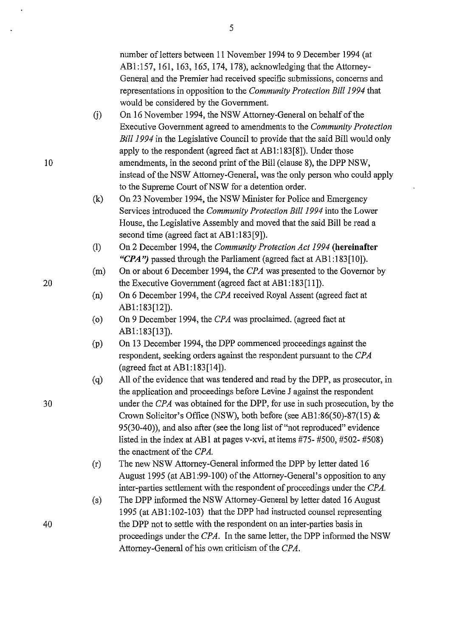number of letters between 11 November 1994 to 9 December 1994 (at ABI:157, 161,163,165,174, 178), acknowledging that the Attorney-General and the Premier had received specific submissions, concerns and representations in opposition to the *Community Protection Bill 1994* that would be considered by the Government.

- G) On 16 November 1994, the NSW Attorney-General on behalf of the Executive Government agreed to amendments to the *Community Protection Bill 1994* in the Legislative Council to provide that the said Bill would only apply to the respondent (agreed fact at ABI:I83[8]). Under those amendments, in the second print of the Bill (clause 8), the DPP NSW, instead of the NSW Attorney-General, was the only person who could apply to the Supreme Court of NSW for a detention order.
- (k) On 23 November 1994, the NSW Minister for Police and Emergency Services introduced the *Community Protection Bill 1994* into the Lower House, the Legislative Assembly and moved that the said Bill be read a second time (agreed fact at AB1:183[9]).
- (I) On 2 December 1994, the *Community Protection Act 1994* **(hereinafter**  *"CPA'')* passed through the Parliament (agreed fact at ABI :183[10]).
- (m) On or about 6 December 1994, the *CPA* was presented to the Governor by 20 the Executive Government (agreed fact at AB1:183[11]).
	- (n) On 6 December 1994, the *CPA* received Royal Assent (agreed fact at ABI:183[12]).
	- (o) On 9 December 1994, the *CPA* was proclaimed. (agreed fact at ABI:183[13]).
	- (p) On 13 December 1994, the DPP commenced proceedings against the respondent, seeking orders against the respondent pursuant to the *CPA*  (agreed fact at ABI:I83[14]).
	- (q) All of the evidence that was tendered and read by the DPP, as prosecutor, in the application and proceedings before Levine J against the respondent under the *CPA* was obtained for the DPP, for use in such prosecution, by the Crown Solicitor's Office (NSW), both before (see ABI:86(50)-87(15) & 95(30-40)), and also after (see the long list of "not reproduced" evidence listed in the index at AB1 at pages v-xvi, at items #75- #500, #502- #508) the enactment of the *CPA.*
	- (r) The new NSW Attorney-General informed the DPP by letter dated 16 August 1995 (at ABI :99-100) of the Attorney-General's opposition to any inter-parties settlement with the respondent of proceedings under the *CPA.*
	- (s) The DPP informed the NSW Attomey-General by letter dated 16 August 1995 (at ABI:I02-103) that the DPP had instructed counsel representing the DPP not to settle with the respondent on an inter-parties basis in proceedings under the *CPA.* In the same letter, the DPP informed the NSW Attorney-General of his own criticism of the *CPA.*

30

10

5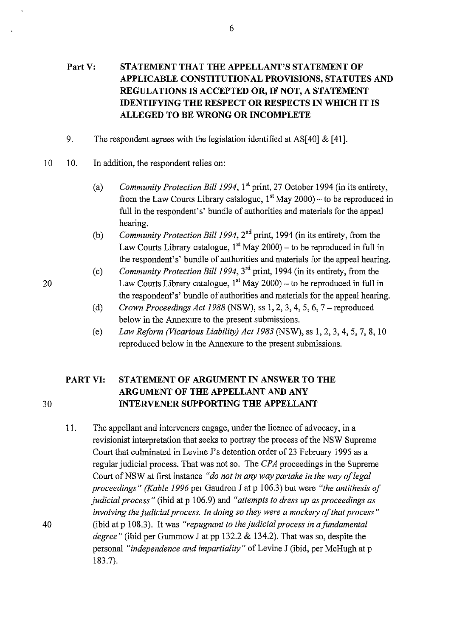### **PartY: STATEMENT THAT THE APPELLANT'S STATEMENT OF APPLICABLE CONSTITUTIONAL PROVISIONS, STATUTES AND REGULATIONS IS ACCEPTED OR, IF NOT, A STATEMENT IDENTIFYING THE RESPECT OR RESPECTS IN WHICH IT IS ALLEGED TO BE WRONG OR INCOMPLETE**

- 9. The respondent agrees with the legislation identified at AS[40]  $\&$  [41].
- 10 10. In addition, the respondent relies on:
	- (a) *Community Protection Bil/1994,* 1'' print, 27 October 1994 (in its entirety, from the Law Courts Library catalogue,  $1<sup>st</sup>$  May 2000) – to be reproduced in full in the respondent's' bundle of authorities and materials for the appeal hearing.
	- (b) *Community Protection Bil/1994,* 2"d print, 1994 (in its entirety, from the Law Courts Library catalogue,  $1<sup>st</sup>$  May 2000) – to be reproduced in full in the respondent's' bundle of authorities and materials for the appeal hearing.
	- (c) *Community Protection Bill 1994,* 3<sup>rd</sup> print, 1994 (in its entirety, from the Law Courts Library catalogue,  $1<sup>st</sup>$  May 2000) – to be reproduced in full in the respondent's' bundle of authorities and materials for the appeal hearing.
	- (d) *Crown Proceedings Act 1988* (NSW), ss 1, 2, 3, 4, 5, 6, 7 -reproduced below in the Annexure to the present submissions.
	- (e) *Law Reform (Vicarious Liability) Act 1983* (NSW), ss 1, 2, 3, 4, 5, 7, 8, 10 reproduced below in the Annexure to the present submissions.

# **PART VI: STATEMENT OF ARGUMENT IN ANSWER TO THE ARGUMENT OF THE APPELLANT AND ANY**  30 **INTERVENER SUPPORTING THE APPELLANT**

11. The appellant and interveners engage, under the licence of advocacy, in a revisionist interpretation that seeks to portray the process of the NSW Supreme Court that culminated in Levine J's detention order of 23 February 1995 as a regular judicial process. That was not so. The *CPA* proceedings in the Supreme Court of NSW at first instance "*do not in any way partake in the way of legal proceedings" (Kable 1996* per Gaudron J at p 1 06.3) but were *"the antithesis of judicial process"* (ibid at p 106.9) and *"attempts to dress up as proceedings as involving the judicial process. In doing so they were a mockery of that process"*  40 (ibid at p 1 08.3). It was *"repugnant to the judicial process* in *a fundamental degree"* (ibid per Gummow J at pp 132.2 & 134.2). That was so, despite the personal *"independence and impartiality"* of Levine J (ibid, per McHugh at p 183.7).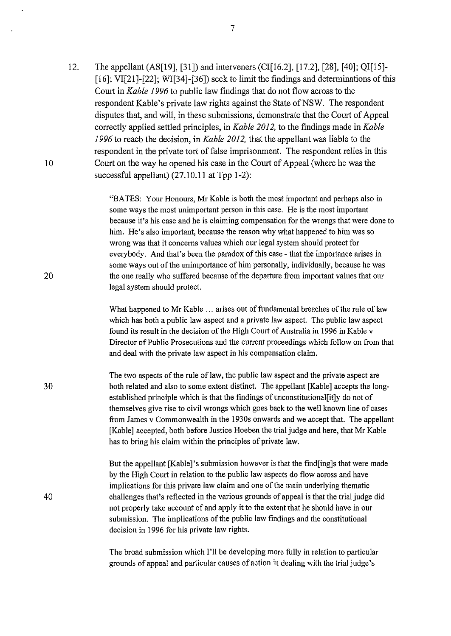12. The appellant (AS[l9], [31]) and interveners (CI[l6.2], [17.2], [28], [40]; QI[l5]- [16]; VI[21]-[22]; WI[34]-[36]) seek to limit the findings and determinations of this Court in *Kable 1996* to public law findings that do not flow across to the respondent Kable's private law rights against the State of NSW. The respondent disputes that, and will, in these submissions, demonstrate that the Court of Appeal correctly applied settled principles, in *Kable 2012,* to the findings made in *Kable 1996* to reach the decision, in *Kable 2012,* that the appellant was liable to the respondent in the private tort of false imprisonment. The respondent relies in this Court on the way he opened his case in the Court of Appeal (where he was the successful appellant) (27.10.11 at Tpp 1-2):

10

20

40

"BATES: Your Honours, Mr Kable is both the most important and perhaps also in some ways the most unimportant person in this case. He is the most important because it's his case and he is claiming compensation for the wrongs that were done to him. He's also important, because the reason why what happened to him was so wrong was that it concerns values which our legal system should protect for everybody. And that's been the paradox of this case- that the importance arises in some ways out of the unimportance of him personally, individually, because he was the one really who suffered because of the departure from important values that our legal system should protect.

What happened to Mr Kable ... arises out of fundamental breaches of the rule of law which has both a public law aspect and a private law aspect. The public law aspect found its result in the decision of the High Court of Australia in 1996 in Kable v Director of Public Prosecutions and the current proceedings which follow on from that and deal with the private law aspect in his compensation claim.

30 The two aspects of the rule of law, the public law aspect and the private aspect are both related and also to some extent distinct. The appellant [Kable] accepts the longestablished principle which is that the findings of unconstitutional[it]y do not of themselves give rise to civil wrongs which goes back to the well known line of cases from James v Commonwealth in the 1930s onwards and we accept that. The appellant [Kable] accepted, both before Justice Hoeben the trial judge and here, that Mr Kable has to bring his claim within the principles of private law.

> But the appellant [Kable]'s submission however is that the find[ing]s that were made by the High Court in relation to the public law aspects do flow across and have implications for this private law claim and one of the main underlying thematic challenges that's reflected in the various grounds of appeal is that the trial judge did not properly take account of and apply it to the extent that he should have in our submission. The implications of the public law findings and the constitutional decision in 1996 for his private law rights.

The broad submission which I'll be developing more fully in relation to particular grounds of appeal and particular causes of action in dealing with the trial judge's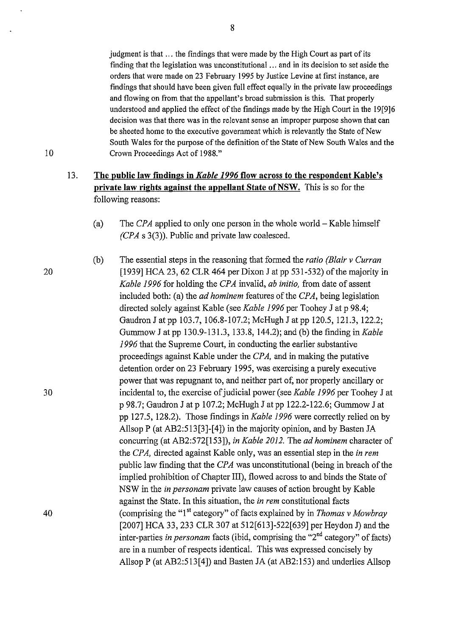judgment is that ... the findings that were made by the High Court as part of its finding that the legislation was unconstitutional ... and in its decision to set aside the orders that were made on 23 February 1995 by Justice Levine at first instance, are findings that should have been given full effect equally in the private law proceedings and flowing on from that the appellant's broad submission is this. That properly understood and applied the effect of the findings made by the High Court in the 19[9]6 decision was that there was in the relevant sense an improper purpose shown that can be sheeted home to the executive government which is relevantly the State of New South Wales for the purpose of the definition of the State of New South Wales and the Crown Proceedings Act of 1988."

#### 13. **The public law findings in** *Kable 1996* **flow across to the respondent Kable's private law rights against the appellant State of NSW.** This is so for the following reasons:

- (a) The *CPA* applied to only one person in the whole world- Kable himself *(CPA* s 3(3)). Public and private law coalesced.
- (b) The essential steps in the reasoning that fonned the *ratio (Blair v Curran*   $[1939]$  HCA 23, 62 CLR 464 per Dixon J at pp 531-532) of the majority in *Kable 1996* for holding the *CPA* invalid, *ab initio,* from date of assent included both: (a) the *ad hominem* features of the *CPA,* being legislation directed solely against Kable (see *Kable 1996* per Toohey J at p 98.4; Gaudron J at pp 103.7, 106.8-107.2; McHugh **J** at pp 120.5, 121.3, 122.2; Gummow J at pp 130.9-131.3, 133.8, 144.2); and (b) the finding in *Kable 1996* that the Supreme Court, in conducting the earlier substantive proceedings against Kable under the *CPA,* and in making the putative detention order on 23 February 1995, was exercising a purely executive power that was repugnant to, and neither part of, nor properly ancillary or incidental to, the exercise of judicial power (see *Kable 1996* per Toohey J at p 98.7; Gaudron J at p 107.2; McHugh J at pp 122.2-122.6; Gummow J at pp 127.5, 128.2). Those findings in *Kable 1996* were correctly relied on by Allsop P (at AB2:513[3]-[4]) in the majority opinion, and by Basten JA concurring (at AB2:572[153]), *in Kable 2012.* The *ad hominem* character of the *CPA,* directed against Kable only, was an essential step in the *in rem*  public law finding that the *CPA* was tmconstitutional (being in breach of the implied prohibition of Chapter III), flowed across to and binds the State of NSW in the *in personam* private law causes of action brought by Kable against the State. In this situation, the *in rem* constitutional facts (comprising the "I'' category" of facts explained by in *Thomas v Mowbray*  [2007] HCA 33, 233 CLR 307 at 512[613]-522[639] per Heydon J) and the inter-parties *in personam* facts (ibid, comprising the "2"d category" of facts) are in a number of respects identical. This was expressed concisely by AllsopP (at AB2:513[4]) and Basten JA (at AB2:153) and underlies Allsop

30

40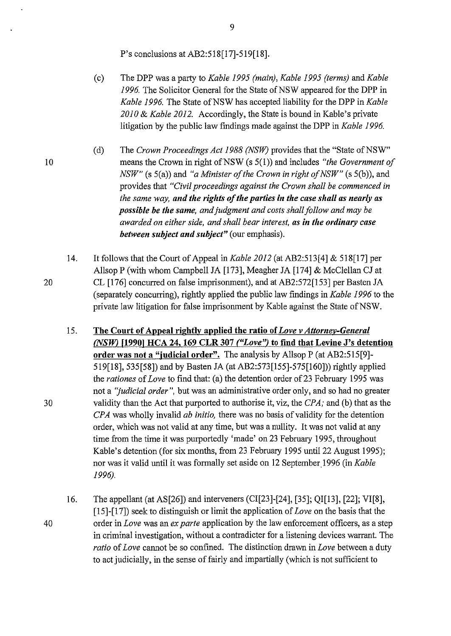P's conclusions at AB2:518[17]-519[18].

(c) The DPP was a party to *Kable 1995 (main), Kable 1995 (terms)* and *Kable*  1996. The Solicitor General for the State of NSW appeared for the DPP in *Kable 1996.* The State of NSW has accepted liability for the DPP in *Kable 2010* & *Kable 2012.* Accordingly, the State is bound in Kable's private litigation by the public law findings made against the DPP in *Kable 1996.* 

(d) The *Crown Proceedings Act 1988 (NSW)* provides that the "State of NSW" means the Crown in right of NSW (s 5(1)) and includes *"the Government of NSW"* (s 5(a)) and "*a Minister of the Crown in right of NSW"* (s 5(b)), and provides that *"Civil proceedings against the Crown shall be commenced in the same way, and the rights of the parties in the case shall as nearly as possible be the same, and judgment and costs shall follow and may be awarded on either side, and shall bear interest, as in the ordinary case between subject and subject"* (our emphasis).

- 14. It follows that the Court of Appeal in *Kable 2012* (at AB2:513[4] & 518[17] per Allsop P (with whom Campbell JA [173], Meagher JA [174] & McClellan CJ at CL [176] concurred on false imprisonment), and at AB2:572[153] per Basten JA (separately concurring), rightly applied the public law findings in *Kable 1996* to the private law litigation for false imprisonment by Kable against the State of NSW.
- 15. The Court of Appeal rightly applied the ratio of *Love v Attornev-General (NSW)* [1990] HCA 24, 169 CLR 307 *("Love")* to find that Levine J's detention order was not a "judicial order". The analysis by Allsop P (at AB2:515[9]-519[18], 535[58]) and by Basten JA (at AB2:573[155]-575[160])) rightly applied the *rationes* of *Love* to find that: (a) the detention order of23 February 1995 was not a *"judicial order",* but was an administrative order only, and so had no greater validity than the Act that purported to authorise it, viz, the *CPA;* and (b) that as the *CPA* was wholly invalid *ab* initio, there was no basis of validity for the detention order, which was not valid at any time, but was a nullity. It was not valid at any time from the time it was purportedly 'made' on 23 February 1995, throughout Kable's detention (for six months, from 23 February 1995 until 22 August 1995); nor was it valid until it was formally set aside on 12 September.1996 (in *Kable 1996).*

16. The appellant (at AS[26]) and interveners (CI[23]-[24], [35]; QI[13], [22]; VI[8], [15]-[17]) seek to distinguish or limit the application of *Love* on the basis that the order in *Love* was an *ex parte* application by the law enforcement officers, as a step in criminal investigation, without a contradicter for a listening devices warrant. The *ratio* of *Love* cannot be so confined. The distinction drawn in *Love* between a duty to act judicially, in the sense of fairly and impartially (which is not sufficient to

20

10

30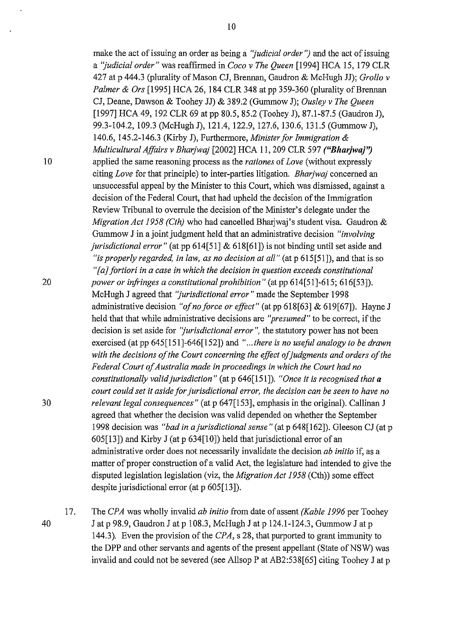40

[1997] HCA 49, 192 CLR 69 at pp 80.5, 85.2 (Toohey J), 87.1-87.5 (Gaudron J), 99.3-104.2, 109.3 (McHugh J), 121.4, 122.9, 127.6, 130.6, 131.5 (Gururnow J), 140.6, 145.2-146.3 (Kirby J), Furthermore, *Minister for Immigration* & *Multicultural Affairs v Bharjwaj* [2002] HCA 11, 209 CLR 597 *("Bharjwaj'?*  10 applied the same reasoning process as the *rationes* of *Love* (without expressly citing *Love* for that principle) to inter-parties litigation. *Bharjwaj* concerned an unsuccessful appeal by the Minister to this Court, which was dismissed, against a decision of the Federal Court, that had upheld the decision of the Immigration Review Tribunal to overrule the decision of the Minister's delegate under the *Migration Act 1958 (Cth)* who had cancelled Bharjwaj's student visa. Gaudron & Gummow J in a joint judgment held that an administrative decision *"involving jurisdictional error"* (at pp 614[51] & 618[61]) is not binding until set aside and *"is properly regarded, in law, as no decision at all"* (at p 615[51]), and that is so *"[a] fortiori in a case in which the decision in question exceeds constitutional*  20 *power or infringes a constitutional prohibition"* (at pp 614[51]-615; 616[53]). McHugh J agreed that *''jurisdictional error"* made the September 1998 administrative decision *"of no force or effect"* (at pp 618[63] & 619[67]). Hayne J held that that while administrative decisions are *"presumed"* to be correct, if the decision is set aside for *''jurisdictional error",* the statutory power has not been exercised (at pp 645[151]-646[152]) and *" ... there is no usefol analogy to be drawn*  with the decisions of the Court concerning the effect of judgments and orders of the *Federal Court of Australia made in proceedings in which the Court had no constitutionally valid jurisdiction"* (at p 646[151]). *"Once it is recognised that a court could set it aside for jurisdictional error, the decision can be seen to have no*  30 *relevant legal consequences"* (at p 647[153], emphasis in the original). Callinan J agreed that whether the decision was valid depended on whether the September 1998 decision was *"bad in a jurisdictional sense"* (at p 648[162]). Gleeson CJ (at p 605[13]) and Kirby J (at p 634[10]) held that jurisdictional error of an administrative order does not necessarily invalidate the decision *ab initio* if, as a matter of proper construction of a valid Act, the legislature had intended to give the disputed legislation legislation (viz, the *Migration Act 1958* (Cth)) some effect despite jurisdictional error (at p 605[13]).

17. The *CPA* was wholly invalid *ab initio* from date of assent *(Kable 1996* per Toohey J at p 98.9, Gaudron J at p 108.3, McHugh J at p 124.1-124.3, Gummow J at p 144.3). Even the provision of the *CPA,* s 28, that purported to grant immunity to the DPP and other servants and agents of the present appellant (State of NSW) was invalid and could not be severed (see Allsop P at AB2:538[65] citing Toohey J at p

make the act of issuing an order as being a *"judicial order'')* and the act of issuing a *"judicial order"* was reaffirmed in *Coco v The Queen* [1994] HCA 15, 179 CLR 427 at p 444.3 (plurality of Mason CJ, Brennan, Gaudron & McHugh JJ); *Grollo v Palmer* & *Ors* [1995] HCA 26, 184 CLR 348 at pp 359-360 (plurality of Brennan CJ, Deane, Dawson & Toohey JJ) & 389.2 (Gumrnow J); *Ousley v The Queen*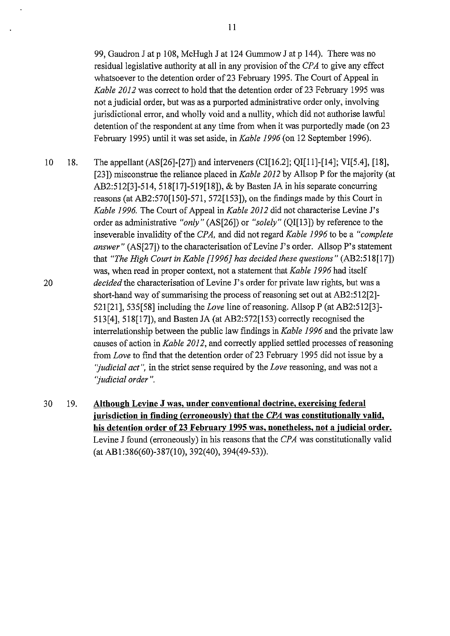99, Gaudron J at p 108, McHugh J at 124 Gummow J at p 144). There was no residual legislative authority at all in any provision of the *CPA* to give any effect whatsoever to the detention order of 23 February 1995. The Court of Appeal in *Kable 2012* was correct to hold that the detention order of 23 February 1995 was not a judicial order, but was as a purported administrative order only, involving jurisdictional error, and wholly void and a nullity, which did not authorise lawful detention of the respondent at any time from when it was purportedly made (on 23 February 1995) until it was set aside, in *Kable 1996* (on 12 September 1996).

- 10 18. 20 The appellant (AS[26]-[27]) and interveners (CI[16.2]; QI[11]-[14]; VI[5.4], [18], [23]) misconstrue the reliance placed in *Kable 2012* by Allsop P for the majority (at AB2:512[3]-514, 518[17]-519[18]), & by Basten JAin his separate concurring reasons (at AB2:570[150]-571, 572[153]), on the findings made by this Court in *Kable 1996.* The Court of Appeal in *Kable 2012* did not characterise Levine J's order as administrative *"only"* (AS[26]) or *"solely"* (QI[13]) by reference to the inseverable invalidity of the *CPA,* and did not regard *Kable 1996* to be a *"complete answer"* (AS[27]) to the characterisation of Levine J's order. Allsop P's statement that *"The High Court in Kable [1996] has decided these questions"* (AB2:518[17]) was, when read in proper context, not a statement that *Kable 1996* had itself *decided* the characterisation of Levine J's order for private law rights, but was a short-hand way of summarising the process of reasoning set out at AB2:512[2]- 521[21], 535[58] including the *Love* line of reasoning. AllsopP (at AB2:512[3]- 513[4], 518[17]), and Basten JA (at AB2:572[153) correctly recognised the interrelationship between the public law findings in *Kable 1996* and the private law causes of action in *Kable 2012,* and correctly applied settled processes of reasoning from *Love* to find that the detention order of 23 February 1995 did not issue by a *"judicial act",* in the strict sense required by the *Love* reasoning, and was not a *"judicial order".*
- 30 19. **Although Levine J was, under conventional doctrine, exercising federal jurisdiction in finding (erroneously) that the** *CPA* **was constitutionally valid,**  his detention order of 23 February 1995 was, nonetheless, not a judicial order. Levine J found (erroneously) in his reasons that the *CPA* was constitutionally valid (at AB1 :386(60)-387(10), 392(40), 394(49-53)).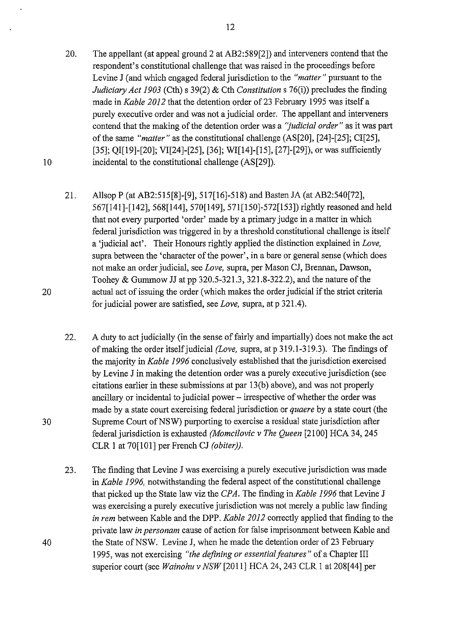- 20. The appellant (at appeal ground 2 at AB2:589[2]) and interveners contend that the respondent's constitutional challenge that was raised in the proceedings before Levine J (and which engaged federal jurisdiction to the *"matter"* pursuant to the *Judiciary Act 1903* (Cth) s 39(2) & Cth *Constitutions* 76(i)) precludes the finding made in *Kable 2012* that the detention order of 23 February 1995 was itself a purely executive order and was not a judicial order. The appellant and interveners contend that the making of the detention order was a *''judicial order"* as it was part of the same *"matter"* as the constitutional challenge (AS[20], [24]-[25]; CI[25], [35]; OI[19]-[20]; VI[24]-[25], [36]; WI[14]-[15], [27]-[29]), or was sufficiently incidental to the constitutional challenge (AS[29]).
- 21. AllsopP (at AB2:515[8]-[9], 517[16]-518) and Basten JA (at AB2:540[72], 567[141]-[142], 568[144], 570[149], 571 [150]-572[153]) rightly reasoned and held that not evety purported 'order' made by a primary judge in a matter in which federal jurisdiction was triggered in by a threshold constitutional challenge is itself a 'judicial act'. Their Honours rightly applied the distinction explained in *Love,*  supra between the 'character of the power', in a bare or general sense (which does not make an order judicial, see *Love,* supra, per Mason CJ, Brennan, Dawson, Toohey & Gummow JJ at pp 320.5-321.3, 321.8-322.2), and the nature of the actual act of issuing the order (which makes the order judicial if the strict criteria for judicial power are satisfied, see *Love,* supra, at p 321.4).
- 22. A duty to act judicially (in the sense of fairly and impartially) does not make the act of making the order itself judicial *(Love,* supra, at p 319.1-319.3). The findings of the majority in *Kable 1996* conclusively established that the jurisdiction exercised by Levine J in making the detention order was a purely executive jurisdiction (see citations earlier in these submissions at par 13(b) above), and was not properly ancillary or incidental to judicial power - irrespective of whether the order was made by a state court exercising federal jurisdiction or *quaere* by a state court (the Supreme Court of NSW) purporting to exercise a residual state jurisdiction after federal jurisdiction is exhausted *(Momcilovic v The Queen* [2100] HCA 34,245 CLR 1 at 70[101] per French CJ *(obiter)).*
- 23. The finding that Levine J was exercising a purely executive jurisdiction was made in *Kable 1996,* notwithstanding the federal aspect of the constitutional challenge that picked up the State law viz the *CPA.* The finding in *Kable 1996* that Levine J was exercising a purely executive jurisdiction was not merely a public law finding *in rem* between Kable and the DPP. *Kable 2012* correctly applied that finding to the private law *in personam* cause of action for false imprisonment between Kable and the State of NSW. Levine J, when he made the detention order of 23 February 1995, was not exercising *"the defining or essential features"* of a Chapter III superior court (see *Wainohu v NSW* [2011] HCA 24,243 CLR I at 208[44] per

20

10

30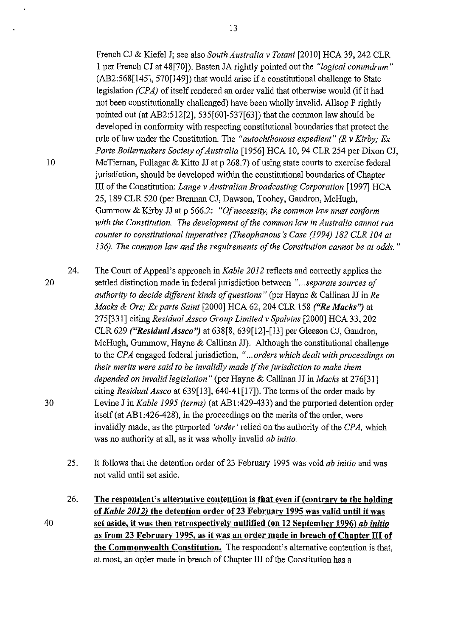French CJ & Kiefel J; see also *South Australia v Totani* [2010] HCA 39,242 CLR 1 per French CJ at 48[70]). Basten JA rightly pointed out the *"logical conundrum"*  (AB2:568[145], 570[149]) that would arise if a constitutional challenge to State legislation *{CPA)* of itself rendered an order valid that otherwise would (if it had not been constitutionally challenged) have been wholly invalid. Allsop P rightly pointed out (at AB2:512[2], 535[60]-537[63]) that the common law should be developed in conformity with respecting constitutional boundaries that protect the rule of law under the Constitution. The *"autochthonous expedient" (R v Kirby; Ex Parte Boilermakers Society of Australia* [1956] HCA 10, 94 CLR 254 per Dixon CJ, 10 McTiernan, Fullagar & Kitto JJ at p 268.7) of using state courts to exercise federal jurisdiction, should be developed within the constitutional boundaries of Chapter III of the Constitution: *Lange v Australian Broadcasting Corporation* [1997] HCA 25, 189 CLR 520 (per Brennan CJ, Dawson, Toohey, Gaudron, McHugh, Gummow & Kirby JJ at p 566.2: *"Of necessity, the common law must conform with the Constitution. The development of the common law in Australia cannot run counter to constitutional imperatives (Theophanous 's Case (1994) 182 CLR 104 at* 

24. The Court of Appeal's approach in *Kable 2012* reflects and correctly applies the settled distinction made in federal jurisdiction between *" ... separate sources of authority to decide different kinds of questions"* (per Hayne & Callinan JJ in *Re Macks* & *Ors; Ex parte Saint* [2000] HCA 62, 204 CLR 158 *("Re Macks'?* at 275[331] citing *Residual Assco Group Limitedv Spalvins* [2000] HCA 33,202 CLR 629 *("Residua/Assco'?* at 638[8, 639[12]-[13] per Gleeson CJ, Gaudron, McHugh, Gummow, Hayne & Callinan JJ). Although the constitutional challenge to the *CPA* engaged federal jurisdiction, *" ... orders which dealt with proceedings on their merits were said to be invalidly made* if *the jurisdiction to make them depended on invalid legislation"* (per Hayne & Callinan JJ in *Macks* at 276[31] citing *Residual Assco* at 639[13], 640-41 [17]). The terms of the order made by Levine J in *Kable 1995 (terms)* (at AB 1 :429-433) and the purported detention order itself(at AB1:426-428), in the proceedings on the merits of the order, were invalidly made, as the purported *'order'* relied on the authority of the *CPA,* which was no authority at all, as it was wholly invalid *ab initio.* 

*136). The common law and the requirements of the Constitution cannot be at odds.* "

- 25. It follows that the detention order of23 February 1995 was void *ab initio* and was not valid until set aside.
- 40 26. **The respondent's alternative contention is that even if( contrary to the holding of** *Kable 2012)* **the detention order of23 February 1995 was valid until it was set aside, it was then retrospectively nullified (on 12 September 1996)** *ab initio*  **as from 23 February 1995, as it was an order made in breach of Chapter III of the Commonwealth Constitution.** The respondent's alternative contention is that, at most, an order made in breach of Chapter III of the Constitution has a

13

20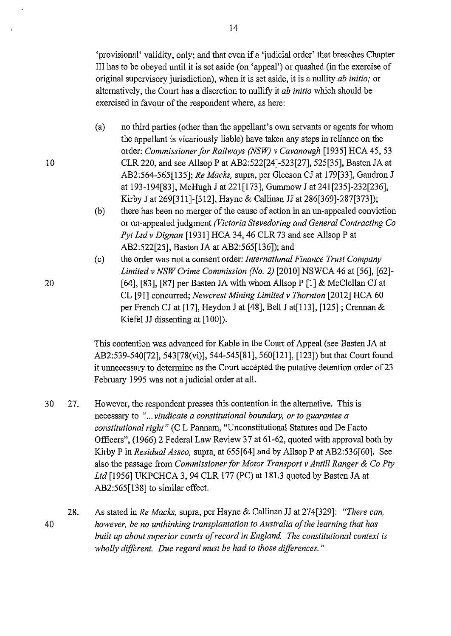'provisional' validity, only; and that even if a 'judicial order' that breaches Chapter III has to be obeyed until it is set aside (on 'appeal') or quashed (in the exercise of original supervisory jurisdiction), when it is set aside, it is a nullity *ab initio;* or alternatively, the Court has a discretion to nullify it *ab initio* which should be exercised in favour of the respondent where, as here:

- (a) no third parties (other than the appellant's own servants or agents for whom the appellant is vicariously liable) have taken any steps in reliance on the order: *Commissioner for Railways (NSW) v Cavanaugh* [1935] HCA 45, 53 CLR 220, and see Allsop P at AB2:522[24]-523[27], 525[35], Basten JA at AB2:564-565[135]; *Re Macks,* supra, per Gleeson CJ at 179[33], Gaudron J at 193-194[83], McHugh J at 221 [173], Gummow J at 241 [235]-232[236], Kirby J at 269[311]-[312], Hayne & Callinan JJ at 286[369]-287[373]);
- (b) there has been no merger of the cause of action in an un-appealed conviction or un-appealed judgment *(Victoria Stevedoring and General Contracting Co*  Pyt Ltd v Dignan [1931] HCA 34, 46 CLR 73 and see Allsop P at AB2:522[25], Basten JA at AB2:565[136]); and
- (c) the order was not a consent order: *International Finance Trust Company Limited v NSW Crime Commission (No. 2)* [2010] NSWCA 46 at [56], [62]-[64], [83], [87] per Basten JA with whom Allsop  $P$  [1] & McClellan CJ at CL [91] concurred; *Newcrest Mining Limitedv Thornton* [2012] HCA 60 per French CJ at [17], Heydon J at [48], Bell J at[113], [125] ; Crennan & Kiefel JJ dissenting at [100]).

This contention was advanced for Kable in the Court of Appeal (see Basten JA at AB2:539-540[72], 543[78(vi)], 544-545[81], 560[121], [123]) but that Court found it unnecessary to determine as the Court accepted the putative detention order of 23 February 1995 was not a judicial order at all.

- 30 27. However, the respondent presses this contention in the alternative. This is necessary to *" ... vindicate a constitutional boundary, or to guarantee a constitutional right"* (C L Pannam, "Unconstitutional Statutes and De Facto Officers", (1966) 2 Federal Law Review 37 at 61-62, quoted with approval both by Kirby Pin *Residual Assco,* supra, at 655[64] and by AllsopP at AB2:536[60]. See also the passage from *Commissioner for Motor Transport v Antill Ranger* & *Co Pty Ltd* [1956] UKPCHCA 3, 94 CLR 177 (PC) at 181.3 quoted by Basten JA at AB2:565[138] to similar effect.
- 28. 40 As stated in *Re Macks,* supra, per Hayne & Callinan JJ at 274[329]: *"There can, however, be no unthinking transplantation to Australia of the learning that has built up about superior courts of record in England. The constitutional context is wholly different. Due regard must be had to those differences.* "

20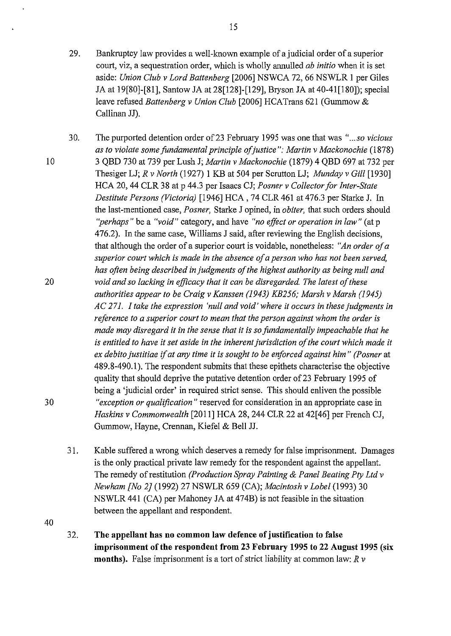- 29. Bankruptcy law provides a well-known example of a judicial order of a superior court, viz, a sequestration order, which is wholly annulled *ab initio* when it is set aside: *Union Club v Lord Battenberg* [2006] NSWCA 72, 66 NSWLR 1 per Giles JA at 19[80]-[81], Santow JA at 28[128]-[129], Bryson JA at 40-41 [180]); special leave refused *Battenberg v Union Club* [2006] HCATrans 621 (Gummow & Callinan JJ).
- 30. The purported detention order of23 February 1995 was one that was *" ... so vicious*  as to violate some fundamental principle of justice": Martin v Mackonochie (1878) 3 QBD 730 at 739 per Lush J; *Martin v Mackonochie* (1879) 4 QBD 697 at 732 per Thesiger LJ; *R v North* (1927) 1 KB at 504 per Scrutton LJ; *Munday v Gill* [1930] HCA 20, 44 CLR 38 at p 44.3 per Isaacs CJ; *Posner v Collector for Inter-State Destitute Persons (Victoria)* [1946] HCA, 74 CLR 461 at 476.3 per Starke J. In the last-mentioned case, *Posner,* Starke J opined, in *obiter,* that such orders should *"perhaps"* be a *"void"* category, and have *"no effect or operation in law"* (at p 476.2). In the same case, Williams J said, after reviewing the English decisions, that although the order of a superior court is voidable, nonetheless: *"An order of a superior court which is made in the absence of a person who has not been served, has often being described in judgments of the highest authority as being null and*  20 *void and so lacking in efficacy that it can be disregarded. The latest of these authorities appear to be Craig v Kanssen (1943) KB256; Marsh v Marsh (1945) AC 271. I take the expression 'null and void' where it occurs in these judgments in reference to a superior court to mean that the person against whom the order is made may disregard it in the sense that it is so fundamentally impeachable that he is entitled to have it set aside in the inherent jurisdiction of the court which made it ex debito justitiae* if *at any time it is sought to be enforced against him" (Posner* at 489.8-4 90.1). The respondent submits that these epithets characterise the objective quality that should deprive the putative detention order of23 February 1995 of being a 'judicial order' in required strict sense. This should enliven the possible 30 *"exception or qualification"* reserved for consideration in an appropriate case in *Haskins v Commonwealth* [2011] HCA 28,244 CLR 22 at 42[46] per French CJ, Gummow, Hayne, Crennan, Kiefel & Bell JJ.
	- 31. Kable suffered a wrong which deserves a remedy for false imprisonment. Damages is the only practical private law remedy for the respondent against the appellant. The remedy of restitution *(Production Spray Painting* & *Panel Beating Pty Ltd v Newham [No 2}* (1992) 27 NSWLR 659 (CA); *Macintosh v Lobel* (1993) 30 NSWLR 441 (CA) per Mahoney JA at 474B) is not feasible in the situation between the appellant and respondent.
- 40
- 32. **The appellant has no common law defence of justification to false imprisonment of the respondent from 23 February 1995 to 22 August 1995 (six months).** False imprisonment is a tort of strict liability at common law: *R v*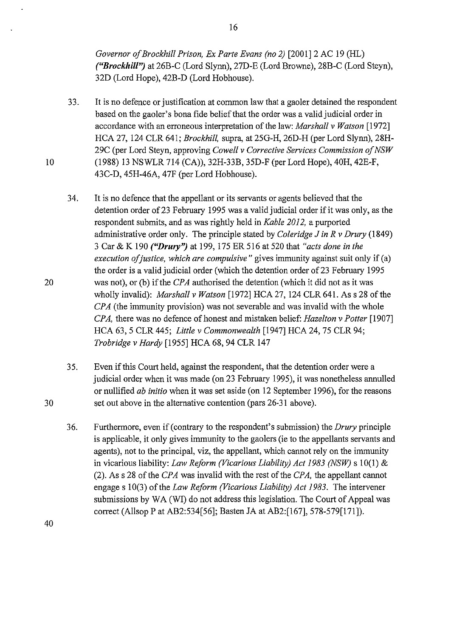*Governor ofBrockhill Prison, Ex Parte Evans (no 2)* [2001]2 AC 19 (HL) *("Brockhill")* at 26B-C (Lord Slynn), 27D-E (Lord Browne), 28B-C (Lord Steyn), 32D (Lord Hope), 42B-D (Lord Hobhouse).

- 33. It is no defence or justification at common law that a gaoler detained the respondent based on the gaoler's bona fide belief that the order was a valid judicial order in accordance with an erroneous interpretation of the law: *Marshall v Watson* [1972] HCA 27, 124 CLR 641; *Brockhill,* supra, at 25G-H, 26D-H (per Lord Slynn), 28H-29C (per Lord Steyn, approving *Cowell v Corrective Services Commission ofNSW*  (1988) 13 NSWLR 714 (CA)), 32H-33B, 35D-F (per Lord Hope), 40H, 42E-F, 43C-D, 45H-46A, 47F (per Lord Hobhouse).
- 34. It is no defence that the appellant or its servants or agents believed that the detention order of23 February 1995 was a valid judicial order if it was only, as the respondent submits, and as was rightly held in *Kable 2012,* a purported administrative order only. The principle stated by *Coleridge* J *in R v Drury* (1849) 3 Car & K 190 *("Drury'?* at 199, 175 ER 516 at 520 that *"acts done in the execution ofjustice, which are compulsive"* gives immunity against suit only if (a) the order is a valid judicial order (which the detention order of 23 February 1995 was not), or (b) if the *CPA* authorised the detention (which it did not as it was wholly invalid): *Marshall v Watson* [1972] HCA 27, 124 CLR 641. Ass 28 of the *CPA* (the immunity provision) was not severable and was invalid with the whole *CPA,* there was no defence of honest and mistaken belief: *Hazelton v Potter* [1907] HCA 63, 5 CLR 445; *Little v Commonwealth* [1947] HCA 24,75 CLR 94; *Trobridge v Hardy* [1955] HCA 68, 94 CLR 147
- 35. Even if this Court held, against the respondent, that the detention order were a judicial order when it was made (on 23 February 1995), it was nonetheless annulled or nullified *ab initio* when it was set aside (on 12 September 1996), for the reasons 30 set out above in the alternative contention (pars 26-31 above).
	- 36. Furthermore, even if (contrary to the respondent's submission) the *Drury* principle is applicable, it only gives immunity to the gaolers (ie to the appellants servants and agents), not to the principal, viz, the appellant, which cannot rely on the immunity in vicarious liability: *Law Reform (Vicarious Liability) Act 1983 (NSW)* s 10(1) & (2). As s 28 of the *CPA* was invalid with the rest of the *CPA*, the appellant cannot engages 10(3) of the *Law Reform (Vicarious Liability) Act 1983.* The intervener submissions by WA (WI) do not address this legislation. The Court of Appeal was correct (Allsop P at AB2:534[56]; Basten JA at AB2:[167], 578-579[171]).

16

40

10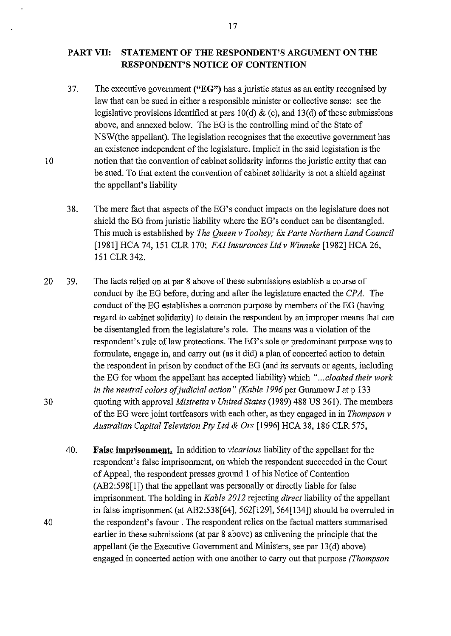# **PART VII: STATEMENT OF THE RESPONDENT'S ARGUMENT ON THE RESPONDENT'S NOTICE OF CONTENTION**

37. The executive government **("EG")** has a juristic status as an entity recognised by law that can be sued in either a responsible minister or collective sense: see the legislative provisions identified at pars  $10(d) \&$  (e), and  $13(d)$  of these submissions above, and annexed below. The EG is the controlling mind of the State of NSW(the appellant). The legislation recognises that the executive government has an existence independent of the legislature. Implicit in the said legislation is the notion that the convention of cabinet solidarity informs the juristic entity that can be sued. To that extent the convention of cabinet solidarity is not a shield against the appellant's liability

10

- 38. The mere fact that aspects of the EO's conduct impacts on the legislature does not shield the EG from juristic liability where the EO's conduct can be disentangled. This much is established by *The Queen v Toohey; Ex Parte Northern Land Council*  [1981] HCA 74, 151 CLR 170; *FAI Insurances Ltd v Winneke* [1982] HCA 26, 151 CLR342.
- 20 39. The facts relied on at par 8 above of these submissions establish a course of conduct by the EG before, during and after the legislature enacted the *CPA.* The conduct of the EG establishes a common purpose by members of the EG (having regard to cabinet solidarity) to detain the respondent by an improper means that can be disentangled from the legislature's role. The means was a violation of the respondent's rule of law protections. The EG's sole or predominant purpose was to formulate, engage in, and carry out (as it did) a plan of concerted action to detain the respondent in prison by conduct of the EG (and its servants or agents, including the EG for whom the appellant has accepted liability) which *" ... cloaked their work in the neutral colors of judicial action" (Kable 1996* per Gummow J at p 133 quoting with approval *Mistretta v United States* (1989) 488 US 361). The members of the EG were joint tortfeasors with each other, as they engaged in in *Thompson v Australian Capital Television Pty Ltd* & *Ors* [1996] HCA 38, 186 CLR 575, 30
	- 40. **False imprisonment.** In addition to *vicarious* liability of the appellant for the respondent's false imprisonment, on which the respondent succeeded in the Court of Appeal, the respondent presses ground I of his Notice of Contention (AB2:598[1]) that the appellant was personally or directly liable for false imprisonment. The holding in *Kable 2012* rejecting *direct* liability of the appellant in false imprisonment (at AB2:538[64], 562[129], 564[134]) should be overruled in the respondent's favour . The respondent relies on the factual matters summarised earlier in these submissions (at par 8 above) as enlivening the principle that the appellant (ie the Executive Government and Ministers, see par 13(d) above) engaged in concerted action with one another to carry out that purpose *(Thompson*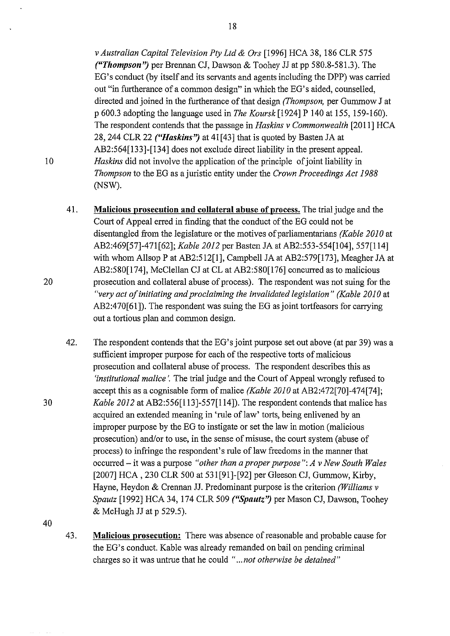*v Australian Capital Television Pty Ltd* & *Ors* [1996] HCA 38, 186 CLR 575 *("Thompson")* per Brennan CJ, Dawson & Toohey JJ at pp 580.8-581.3). The EG's conduct (by itself and its servants and agents including the DPP) was carried out "in furtherance of a common design" in which the EG's aided, counselled, directed and joined in the furtherance of that design *(Thompson,* per Gummow J at p 600.3 adopting the language used in *The Koursk* [1924] P 140 at 155, 159-160). The respondent contends that the passage in *Haskins v Commonwealth* [2011] HCA 28, 244 CLR 22 *("Haskins'')* at 41 [ 43] that is quoted by Basten JA at AB2:564[133]-[134] does not exclude direct liability in the present appeal. *Haskins* did not involve the application of the principle of joint liability in *Thompson* to the EG as a juristic entity tmder the *Crown Proceedings Act 1988*  (NSW).

- 41. **Malicious prosecution and collateral abuse of process.** The trial judge and the Court of Appeal erred in finding that the conduct of the EG could not be disentangled from the legislature or the motives of parliamentarians *(Kable 2010* at AB2:469[57]-471 [62]; *Kable 2012* per Basten JA at AB2:553-554[104], 557[114] with whom Allsop P at AB2:512[1], Campbell JA at AB2:579[173], Meagher JA at AB2:580[174], McClellan CJ at CL at AB2:580[176] concuned as to malicious prosecution and collateral abuse of process). The respondent was not suing for the *"very act of initiating and proclaiming the invalidated legislation" (Kable 2010* at AB2:470[61]). The respondent was suing the EG as joint tortfeasors for carrying out a tortious plan and common design.
- 42. The respondent contends that the EG's joint purpose set out above (at par 39) was a sufficient improper purpose for each of the respective torts of malicious prosecution and collateral abuse of process. The respondent describes this as *'institutional malice* '. The trial judge and the Court of Appeal wrongly refused to accept this as a cognisable form of malice *(Kable 2010* at AB2:472[70]-474[74]; *Kable 2012* at AB2:556[113]-557[114]). The respondent contends that malice has acquired an extended meaning in 'rule of law' torts, being enlivened by an improper purpose by the EG to instigate or set the law in motion (malicious prosecution) and/or to use, in the sense of misuse, the court system (abuse of process) to infringe the respondent's rule of law freedoms in the manner that occurred- it was a purpose *"other than a proper purpose": A v New South Wales*  [2007] HCA, 230 CLR 500 at 531[91]-[92] per Gleeson CJ, Gummow, Kirby, Hayne, Heydon & Crennan JJ. Predominant purpose is the criterion *(Williams v Spautz* [1992] HCA 34, 174 CLR 509 *("Spautz'')* per Mason CJ, Dawson, Toohey & McHugh JJ at p 529.5).

40

43. **Malicious prosecution:** There was absence of reasonable and probable cause for the EG's conduct. Kable was already remanded on bail on pending criminal charges so it was untrue that he could *" ... not otherwise be detained"* 

20

30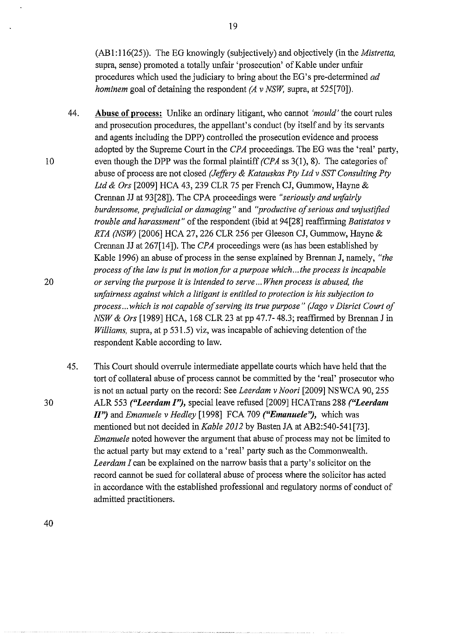(AB 1: 116(25)). The EG knowingly (subjectively) and objectively (in the *Mistretta,*  supra, sense) promoted a totally unfair 'prosecution' of Kable under unfair procedures which used the judiciary to bring about the EO's pre-determined *ad hominem* goal of detaining the respondent *(A v NSW, supra, at 525[70]*).

- 44. **Abuse of process:** Unlike an ordinary litigant, who cannot *'mould'* the court rules and prosecution procedures, the appellant's conduct (by itself and by its servants and agents including the DPP) controlled the prosecution evidence and process adopted by the Supreme Court in the *CPA* proceedings. The EG was the 'real' party, even though the DPP was the formal plaintiff *(CPA* ss 3(1 ), 8). The categories of abuse of process are not closed *(Jeffiry* & *Katauskas Pty Ltd v SST Consulting Pty Ltd* & *Ors* [2009] HCA 43, 239 CLR 75 per French CJ, Gummow, Hayne & Crennan JJ at 93[28]). The CPA proceedings were *"seriously and unfairly burdensome, prejudicial or damaging"* and *''productive of serious and unjustified trouble and harassment"* of the respondent (ibid at 94[28] reaffirming *Batistatos v RTA (NSW)* [2006] HCA 27, 226 CLR 256 per Gleeson CJ, Gummow, Hayne & Crennan JJ at 267[14]). The *CPA* proceedings were (as has been established by Kable 1996) an abuse of process in the sense explained by Brennan J, namely, *"the process of the law is put in motion for a purpose which ... the process is incapable*  20 *or serving the purpose it is intended to serve ... When process is abused, the urifairness against which a litigant is entitled to protection is his subjection to process ... which is not capable of serving its true purpose" (Jago v Disrict Court of NSW* & *Ors* [1989] HCA, 168 CLR 23 at pp 47.7- 48.3; reaffirmed by Brennan J in *Williams,* supra, at p 531.5) viz, was incapable of achieving detention of the respondent Kable according to law.
	- 45. This Court should overrule intermediate appellate courts which have held that the tort of collateral abuse of process cannot be committed by the 'real' prosecutor who is not an actual party on the record: See *Leerdam v Noori* [2009] NSWCA 90, 255 ALR 553 *("Leerdam 1'?,* special leave refused [2009] HCATrans 288 *("Leerdam II'?* and *Emanuele v Hedley* [1998] FCA 709 *("Emanuele'?,* which was mentioned but not decided in *Kable 2012* by Basten JA at AB2:540-541[73]. *Emanuele* noted however the argument that abuse of process may not be limited to the actual party but may extend to a 'real' party such as the Commonwealth. *Leerdam I* can be explained on the narrow basis that a party's solicitor on the record cannot be sued for collateral abuse of process where the solicitor has acted in accordance with the established professional and regulatory norms of conduct of admitted practitioners.

10

30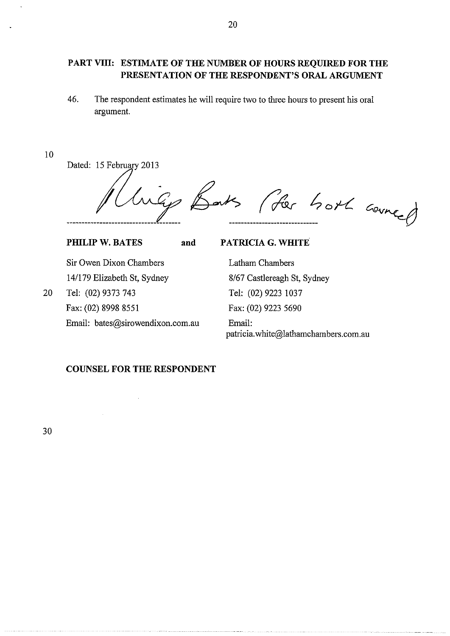# **PART VIII: ESTIMATE OF THE NUMBER OF HOURS REQUIRED FOR THE PRESENTATION OF THE RESPONDENT'S ORAL ARGUMENT**

46. The respondent estimates he will require two to three hours to present his oral argument.

#### 10

Dated: 15 February 2013

Barks (for hort counce) ------------------------------ ~

**PHILIP W. BATES** 

and **PATRICIA G. WHITE** 

Sir Owen Dixon Chambers 14/179 Elizabeth St, Sydney 20 Tel: (02) 9373 743 Fax: (02) 8998 8551 Email: bates@sirowendixon.com.au

Latham Chambers 8/67 Castlereagh St, Sydney Tel: (02) 9223 1037 Fax: (02) 9223 5690 Email: patricia.white@lathamchambers.com.au

# **COUNSEL FOR THE RESPONDENT**

 $\bar{u}$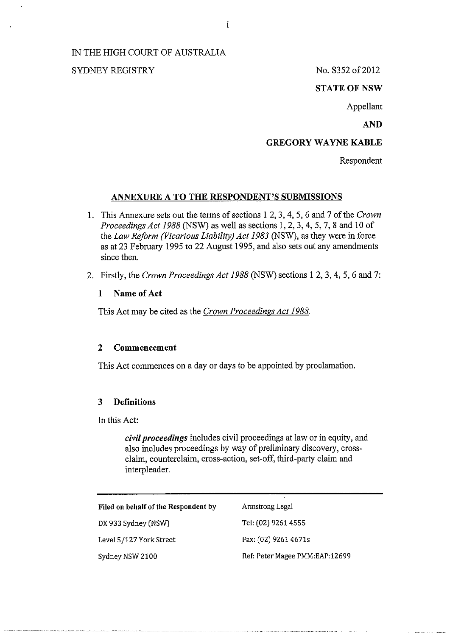# IN THE HIGH COURT OF AUSTRALIA

# SYDNEY REGISTRY No. S352 of 2012

### **STATE OF NSW**

Appellant

# AND

# GREGORY WAYNE KABLE

Respondent

### ANNEXURE A TO THE RESPONDENT'S SUBMISSIONS

- 1. This Annexure sets out the terms of sections 1 2, 3, 4, 5, 6 and 7 of the *Crown Proceedings Act 1988* (NSW) as well as sections 1, 2, 3, 4, 5, 7, 8 and 10 of the *Law Reform (Vicarious Liability) Act 1983* (NSW), as they were in force as at 23 February 1995 to 22 August 1995, and also sets out any amendments since then.
- 2. Firstly, the *Crown Proceedings Act 1988* (NSW) sections 1 2, 3, 4, 5, 6 and 7:

### 1 Name of Act

This Act may be cited as the *Crown Proceedings Act 1988.* 

#### 2 Commencement

This Act commences on a day or days to be appointed by proclamation.

### 3 Definitions

In this Act:

*civil proceedings* includes civil proceedings at law or in equity, and also includes proceedings by way of preliminary discovery, crossclaim, counterclaim, cross-action, set-off, third-party claim and interpleader.

| Filed on behalf of the Respondent by | Armstrong Legal                |
|--------------------------------------|--------------------------------|
| DX 933 Sydney (NSW)                  | Tel: (02) 9261 4555            |
| Level 5/127 York Street              | Fax: (02) 9261 4671s           |
| Sydney NSW 2100                      | Ref: Peter Magee PMM:EAP:12699 |

i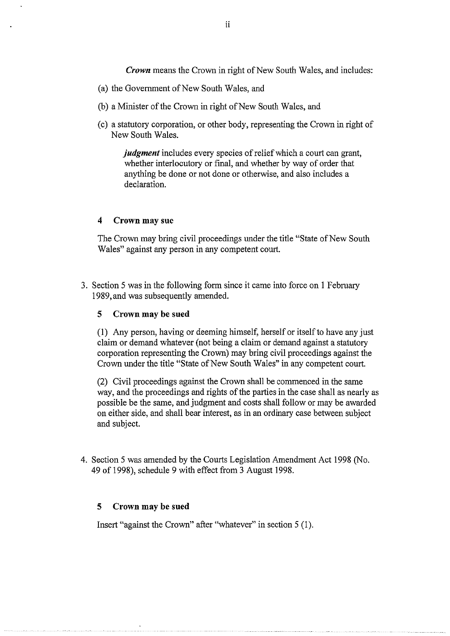*Crown* means the Crown in right of New South Wales, and includes:

- (a) the Government of New South Wales, and
- (b) a Minister of the Crown in right of New South Wales, and
- (c) a statutory corporation, or other body, representing the Crown in right of New South Wales.

*judgment* includes every species of relief which a court can grant, whether interlocutory or final, and whether by way of order that anything be done or not done or otherwise, and also includes a declaration.

#### **4 Crown may sue**

The Crown may bring civil proceedings under the title "State of New South Wales" against any person in any competent court.

3. Section 5 was in the following form since it came into force on I February 1989,and was subsequently amended.

#### **5 Crown may be sued**

(I) Any person, having or deeming himself, herself or itself to have any just claim or demand whatever (not being a claim or demand against a statutory corporation representing the Crown) may bring civil proceedings against the Crown under the title "State of New South Wales" in any competent court.

(2) Civil proceedings against the Crown shall be commenced in the same way, and the proceedings and rights of the parties in the case shall as nearly as possible be the same, and judgment and costs shall follow or may be awarded on either side, and shall bear interest, as in an ordinary case between subject and subject.

4. Section 5 was amended by the Courts Legislation Amendment Act 1998 (No. 49 of 1998), schedule 9 with effect from 3 August 1998.

#### **5 Crown may be sued**

Insert "against the Crown" after "whatever" in section 5 (I).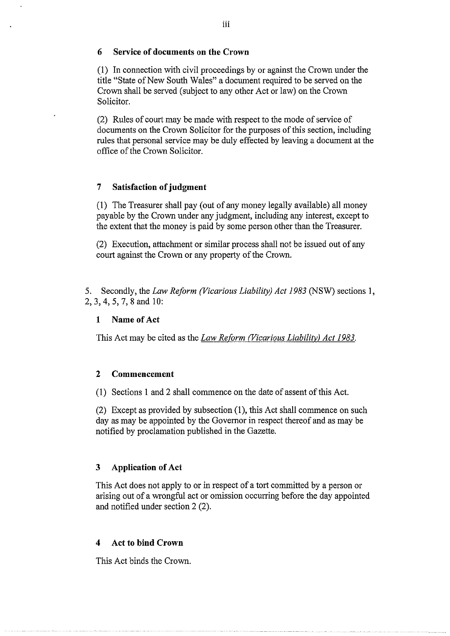# **6 Service of documents on the Crown**

(1) In connection with civil proceedings by or against the Crown under the title "State of New South Wales" a document required to be served on the Crown shall be served (subject to any other Act or law) on the Crown Solicitor.

(2) Rules of court may be made with respect to the mode of service of documents on the Crown Solicitor for the purposes of this section, including rules that personal service may be duly effected by leaving a document at the office of the Crown Solicitor.

# **7 Satisfaction of judgment**

(1) The Treasurer shall pay (out of any money legally available) all money payable by the Crown under any judgment, including any interest, except to the extent that the money is paid by some person other than the Treasurer.

(2) Execution, attachment or similar process shall not be issued out of any court against the Crown or any property of the Crown.

5. Secondly, the *Law Reform (Vicarious Liability) Act 1983* (NSW) sections 1, 2, 3, 4, 5, 7, 8 and 10:

### **1 Name of Act**

This Act may be cited as the *Law Reform (Vicarious Liability) Act 1983*.

#### **2 Commencement**

( 1) Sections 1 and 2 shall commence on the date of assent of this Act.

(2) Except as provided by subsection (1 ), this Act shall commence on such day as may be appointed by the Governor in respect thereof and as may be notified by proclamation published in the Gazette.

### **3 Application of Act**

This Act does not apply to or in respect of a tort committed by a person or arising out of a wrongful act or omission occurring before the day appointed and notified under section 2 (2).

#### **4 Act to bind Crown**

This Act binds the Crown.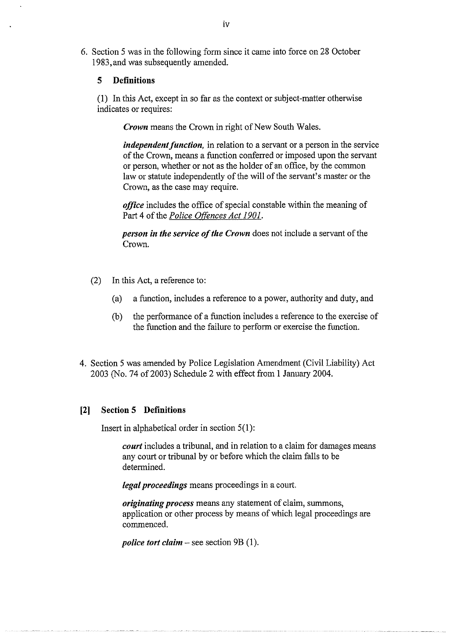6. Section 5 was in the following form since it came into force on 28 October 1983,and was subsequently amended.

#### 5 Definitions

(1) In this Act, except in so far as the context or subject-matter otherwise indicates or requires:

*Crown* means the Crown in right of New South Wales.

*independent function,* in relation to a servant or a person in the service of the Crown, means a function conferred or imposed upon the servant or person, whether or not as the holder of an office, by the common law or statute independently of the will of the servant's master or the Crown, as the case may require.

*office* includes the office of special constable within the meaning of Part 4 of the *Police Offences Act 1901.* 

*person in the service of the Crown* does not include a servant of the Crown.

- (2) In this Act, a reference to:
	- (a) a function, includes a reference to a power, authority and duty, and
	- (b) the performance of a function includes a reference to the exercise of the function and the failure to perform or exercise the function.
- 4. Section 5 was amended by Police Legislation Amendment (Civil Liability) Act 2003 (No. 74 of 2003) Schedule 2 with effect from 1 January 2004.

### [2] Section 5 Definitions

Insert in alphabetical order in section  $5(1)$ :

*court* includes a tribunal, and in relation to a claim for damages means any court or tribunal by or before which the claim falls to be determined.

*legal proceedings* means proceedings in a court.

*originating process* means any statement of claim, summons, application or other process by means of which legal proceedings are commenced.

*police tort claim* – see section 9B (1).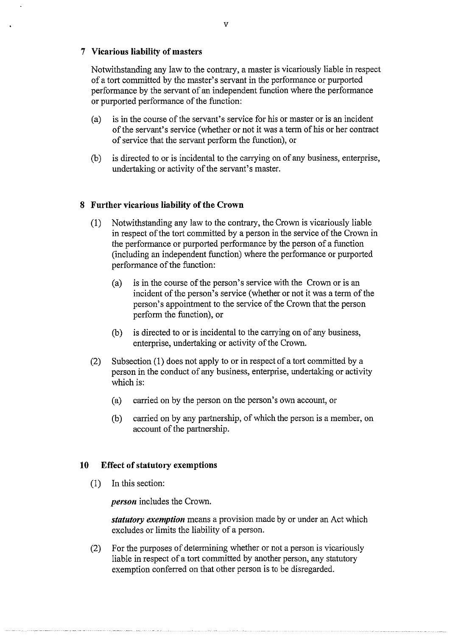# **7 Vicarious liability of masters**

Notwithstanding any law to the contrary, a master is vicariously liable in respect of a tort committed by the master's servant in the performance or purported performance by the servant of an independent function where the performance or purported performance of the function:

- (a) is in the course of the servant's service for his or master or is an incident of the servant's service (whether or not it was a term of his or her contract of service that the servant perform the function), or
- (b) is directed to or is incidental to the carrying on of any business, enterprise, undertaking or activity of the servant's master.

# **8 Further vicarious liability of the Crown**

- (I) Notwithstanding any law to the contrary, the Crown is vicariously liable in respect of the tort committed by a person in the service of the Crown in the performance or purported performance by the person of a function (including an independent function) where the performance or purported performance of the function:
	- (a) is in the course of the person's service with the Crown or is an incident of the person's service (whether or not it was a term of the person's appointment to the service of the Crown that the person perform the function), or
	- (b) is directed to or is incidental to the carrying on of any business, enterprise, undertaking or activity of the Crown.
- (2) Subsection (I) does not apply to or in respect of a tort committed by a person in the conduct of any business, enterprise, undertaking or activity which is:
	- (a) carried on by the person on the person's own account, or
	- (b) carried on by any partnership, of which the person is a member, on account of the partnership.

### **10 Effect of statutory exemptions**

(I) In this section:

*person* includes the Crown.

*statutory exemption* means a provision made by or under an Act which excludes or limits the liability of a person.

(2) For the purposes of determining whether or not a person is vicariously liable in respect of a tort committed by another person, any statutory exemption conferred on that other person is to be disregarded.